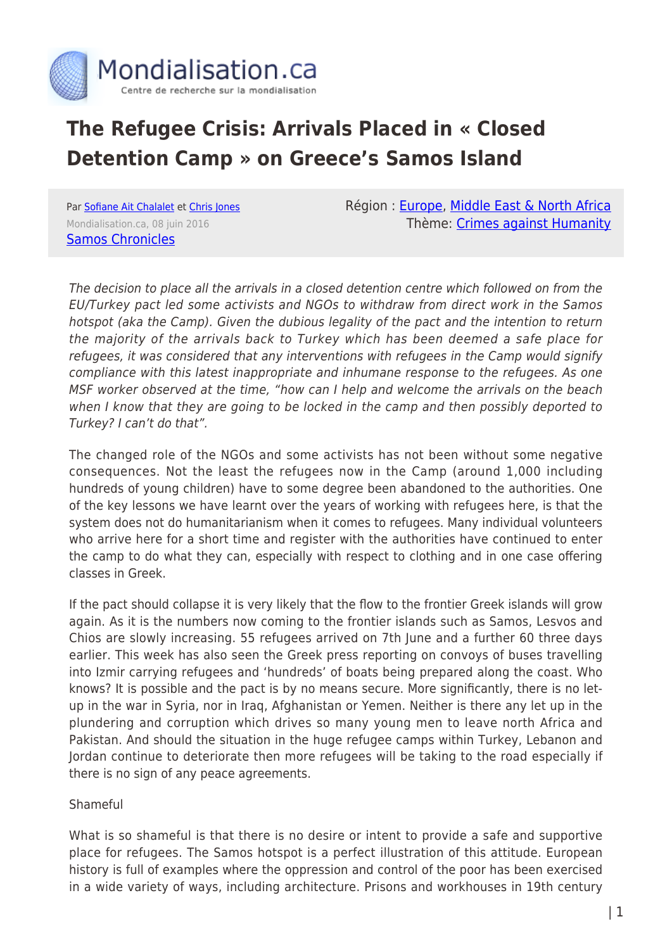

# **The Refugee Crisis: Arrivals Placed in « Closed Detention Camp » on Greece's Samos Island**

Par [Sofiane Ait Chalalet](https://www.mondialisation.ca/author/sofiane-ait-chalalet) et [Chris Jones](https://www.mondialisation.ca/author/chris-jones) Mondialisation.ca, 08 juin 2016 [Samos Chronicles](https://samoschronicles.wordpress.com/2016/06/08/samos-hotspot-roaring-with-rage-but-who-is-listening/)

Région : [Europe](https://www.mondialisation.ca/region/europe), [Middle East & North Africa](https://www.mondialisation.ca/region/middle-east) Thème: [Crimes against Humanity](https://www.mondialisation.ca/theme/crimes-against-humanity)

The decision to place all the arrivals in a closed detention centre which followed on from the EU/Turkey pact led some activists and NGOs to withdraw from direct work in the Samos hotspot (aka the Camp). Given the dubious legality of the pact and the intention to return the majority of the arrivals back to Turkey which has been deemed a safe place for refugees, it was considered that any interventions with refugees in the Camp would signify compliance with this latest inappropriate and inhumane response to the refugees. As one MSF worker observed at the time, "how can I help and welcome the arrivals on the beach when I know that they are going to be locked in the camp and then possibly deported to Turkey? I can't do that".

The changed role of the NGOs and some activists has not been without some negative consequences. Not the least the refugees now in the Camp (around 1,000 including hundreds of young children) have to some degree been abandoned to the authorities. One of the key lessons we have learnt over the years of working with refugees here, is that the system does not do humanitarianism when it comes to refugees. Many individual volunteers who arrive here for a short time and register with the authorities have continued to enter the camp to do what they can, especially with respect to clothing and in one case offering classes in Greek.

If the pact should collapse it is very likely that the flow to the frontier Greek islands will grow again. As it is the numbers now coming to the frontier islands such as Samos, Lesvos and Chios are slowly increasing. 55 refugees arrived on 7th June and a further 60 three days earlier. This week has also seen the Greek press reporting on convoys of buses travelling into Izmir carrying refugees and 'hundreds' of boats being prepared along the coast. Who knows? It is possible and the pact is by no means secure. More significantly, there is no letup in the war in Syria, nor in Iraq, Afghanistan or Yemen. Neither is there any let up in the plundering and corruption which drives so many young men to leave north Africa and Pakistan. And should the situation in the huge refugee camps within Turkey, Lebanon and Jordan continue to deteriorate then more refugees will be taking to the road especially if there is no sign of any peace agreements.

### Shameful

What is so shameful is that there is no desire or intent to provide a safe and supportive place for refugees. The Samos hotspot is a perfect illustration of this attitude. European history is full of examples where the oppression and control of the poor has been exercised in a wide variety of ways, including architecture. Prisons and workhouses in 19th century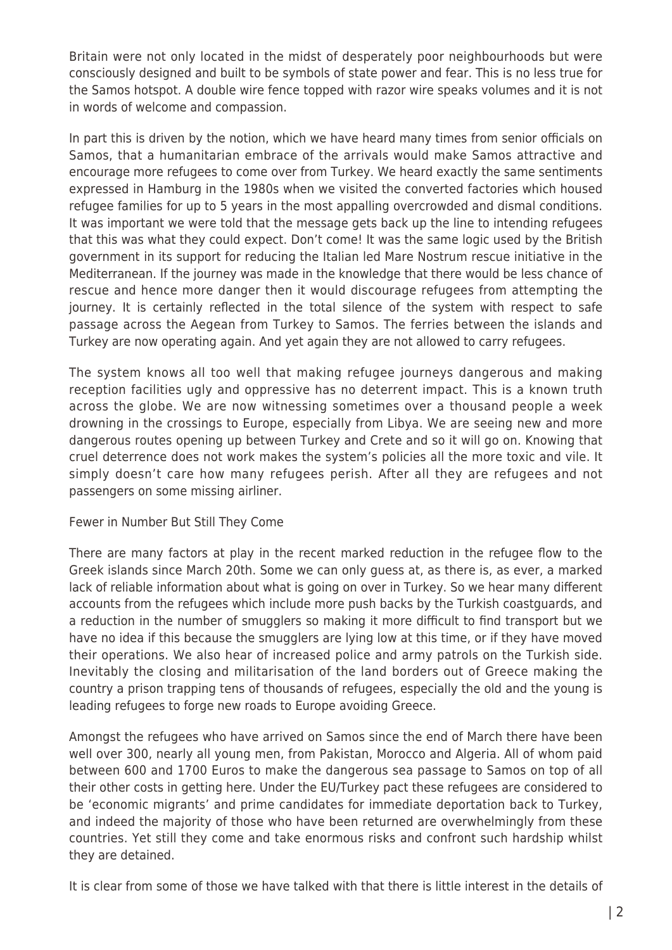Britain were not only located in the midst of desperately poor neighbourhoods but were consciously designed and built to be symbols of state power and fear. This is no less true for the Samos hotspot. A double wire fence topped with razor wire speaks volumes and it is not in words of welcome and compassion.

In part this is driven by the notion, which we have heard many times from senior officials on Samos, that a humanitarian embrace of the arrivals would make Samos attractive and encourage more refugees to come over from Turkey. We heard exactly the same sentiments expressed in Hamburg in the 1980s when we visited the converted factories which housed refugee families for up to 5 years in the most appalling overcrowded and dismal conditions. It was important we were told that the message gets back up the line to intending refugees that this was what they could expect. Don't come! It was the same logic used by the British government in its support for reducing the Italian led Mare Nostrum rescue initiative in the Mediterranean. If the journey was made in the knowledge that there would be less chance of rescue and hence more danger then it would discourage refugees from attempting the journey. It is certainly reflected in the total silence of the system with respect to safe passage across the Aegean from Turkey to Samos. The ferries between the islands and Turkey are now operating again. And yet again they are not allowed to carry refugees.

The system knows all too well that making refugee journeys dangerous and making reception facilities ugly and oppressive has no deterrent impact. This is a known truth across the globe. We are now witnessing sometimes over a thousand people a week drowning in the crossings to Europe, especially from Libya. We are seeing new and more dangerous routes opening up between Turkey and Crete and so it will go on. Knowing that cruel deterrence does not work makes the system's policies all the more toxic and vile. It simply doesn't care how many refugees perish. After all they are refugees and not passengers on some missing airliner.

### Fewer in Number But Still They Come

There are many factors at play in the recent marked reduction in the refugee flow to the Greek islands since March 20th. Some we can only guess at, as there is, as ever, a marked lack of reliable information about what is going on over in Turkey. So we hear many different accounts from the refugees which include more push backs by the Turkish coastguards, and a reduction in the number of smugglers so making it more difficult to find transport but we have no idea if this because the smugglers are lying low at this time, or if they have moved their operations. We also hear of increased police and army patrols on the Turkish side. Inevitably the closing and militarisation of the land borders out of Greece making the country a prison trapping tens of thousands of refugees, especially the old and the young is leading refugees to forge new roads to Europe avoiding Greece.

Amongst the refugees who have arrived on Samos since the end of March there have been well over 300, nearly all young men, from Pakistan, Morocco and Algeria. All of whom paid between 600 and 1700 Euros to make the dangerous sea passage to Samos on top of all their other costs in getting here. Under the EU/Turkey pact these refugees are considered to be 'economic migrants' and prime candidates for immediate deportation back to Turkey, and indeed the majority of those who have been returned are overwhelmingly from these countries. Yet still they come and take enormous risks and confront such hardship whilst they are detained.

It is clear from some of those we have talked with that there is little interest in the details of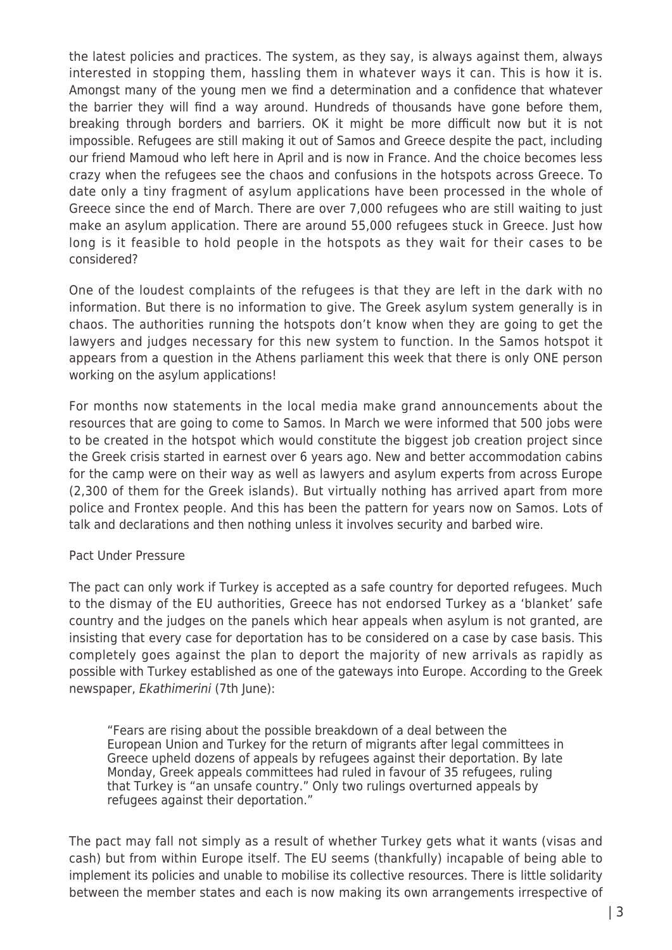the latest policies and practices. The system, as they say, is always against them, always interested in stopping them, hassling them in whatever ways it can. This is how it is. Amongst many of the young men we find a determination and a confidence that whatever the barrier they will find a way around. Hundreds of thousands have gone before them, breaking through borders and barriers. OK it might be more difficult now but it is not impossible. Refugees are still making it out of Samos and Greece despite the pact, including our friend Mamoud who left here in April and is now in France. And the choice becomes less crazy when the refugees see the chaos and confusions in the hotspots across Greece. To date only a tiny fragment of asylum applications have been processed in the whole of Greece since the end of March. There are over 7,000 refugees who are still waiting to just make an asylum application. There are around 55,000 refugees stuck in Greece. Just how long is it feasible to hold people in the hotspots as they wait for their cases to be considered?

One of the loudest complaints of the refugees is that they are left in the dark with no information. But there is no information to give. The Greek asylum system generally is in chaos. The authorities running the hotspots don't know when they are going to get the lawyers and judges necessary for this new system to function. In the Samos hotspot it appears from a question in the Athens parliament this week that there is only ONE person working on the asylum applications!

For months now statements in the local media make grand announcements about the resources that are going to come to Samos. In March we were informed that 500 jobs were to be created in the hotspot which would constitute the biggest job creation project since the Greek crisis started in earnest over 6 years ago. New and better accommodation cabins for the camp were on their way as well as lawyers and asylum experts from across Europe (2,300 of them for the Greek islands). But virtually nothing has arrived apart from more police and Frontex people. And this has been the pattern for years now on Samos. Lots of talk and declarations and then nothing unless it involves security and barbed wire.

### Pact Under Pressure

The pact can only work if Turkey is accepted as a safe country for deported refugees. Much to the dismay of the EU authorities, Greece has not endorsed Turkey as a 'blanket' safe country and the judges on the panels which hear appeals when asylum is not granted, are insisting that every case for deportation has to be considered on a case by case basis. This completely goes against the plan to deport the majority of new arrivals as rapidly as possible with Turkey established as one of the gateways into Europe. According to the Greek newspaper, Ekathimerini (7th June):

"Fears are rising about the possible breakdown of a deal between the European Union and Turkey for the return of migrants after legal committees in Greece upheld dozens of appeals by refugees against their deportation. By late Monday, Greek appeals committees had ruled in favour of 35 refugees, ruling that Turkey is "an unsafe country." Only two rulings overturned appeals by refugees against their deportation."

The pact may fall not simply as a result of whether Turkey gets what it wants (visas and cash) but from within Europe itself. The EU seems (thankfully) incapable of being able to implement its policies and unable to mobilise its collective resources. There is little solidarity between the member states and each is now making its own arrangements irrespective of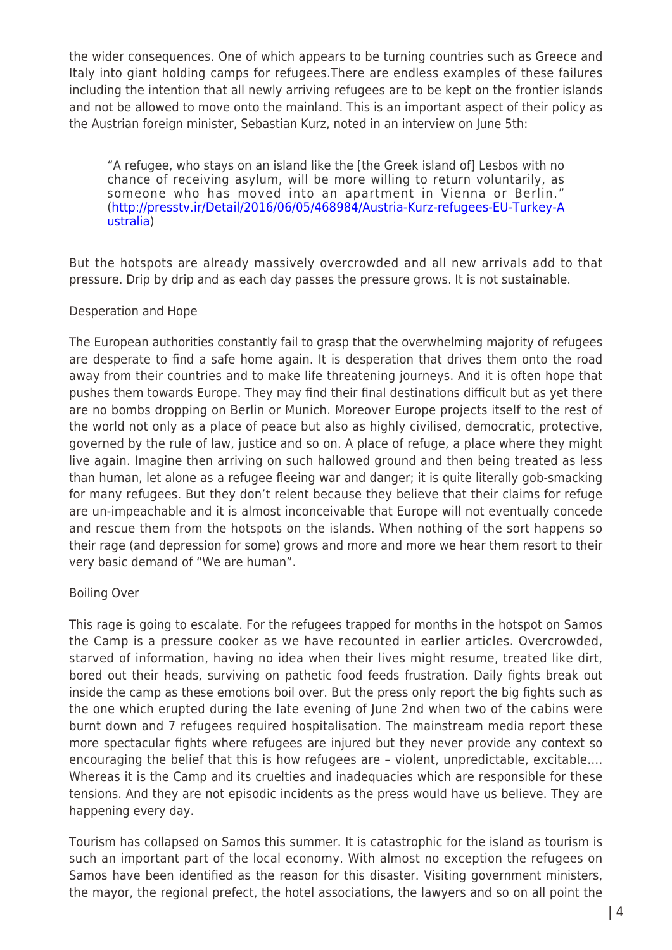the wider consequences. One of which appears to be turning countries such as Greece and Italy into giant holding camps for refugees.There are endless examples of these failures including the intention that all newly arriving refugees are to be kept on the frontier islands and not be allowed to move onto the mainland. This is an important aspect of their policy as the Austrian foreign minister, Sebastian Kurz, noted in an interview on June 5th:

"A refugee, who stays on an island like the [the Greek island of] Lesbos with no chance of receiving asylum, will be more willing to return voluntarily, as someone who has moved into an apartment in Vienna or Berlin." ([http://presstv.ir/Detail/2016/06/05/468984/Austria-Kurz-refugees-EU-Turkey-A](http://presstv.ir/Detail/2016/06/05/468984/Austria-Kurz-refugees-EU-Turkey-Australia) [ustralia\)](http://presstv.ir/Detail/2016/06/05/468984/Austria-Kurz-refugees-EU-Turkey-Australia)

But the hotspots are already massively overcrowded and all new arrivals add to that pressure. Drip by drip and as each day passes the pressure grows. It is not sustainable.

### Desperation and Hope

The European authorities constantly fail to grasp that the overwhelming majority of refugees are desperate to find a safe home again. It is desperation that drives them onto the road away from their countries and to make life threatening journeys. And it is often hope that pushes them towards Europe. They may find their final destinations difficult but as yet there are no bombs dropping on Berlin or Munich. Moreover Europe projects itself to the rest of the world not only as a place of peace but also as highly civilised, democratic, protective, governed by the rule of law, justice and so on. A place of refuge, a place where they might live again. Imagine then arriving on such hallowed ground and then being treated as less than human, let alone as a refugee fleeing war and danger; it is quite literally gob-smacking for many refugees. But they don't relent because they believe that their claims for refuge are un-impeachable and it is almost inconceivable that Europe will not eventually concede and rescue them from the hotspots on the islands. When nothing of the sort happens so their rage (and depression for some) grows and more and more we hear them resort to their very basic demand of "We are human".

## Boiling Over

This rage is going to escalate. For the refugees trapped for months in the hotspot on Samos the Camp is a pressure cooker as we have recounted in earlier articles. Overcrowded, starved of information, having no idea when their lives might resume, treated like dirt, bored out their heads, surviving on pathetic food feeds frustration. Daily fights break out inside the camp as these emotions boil over. But the press only report the big fights such as the one which erupted during the late evening of June 2nd when two of the cabins were burnt down and 7 refugees required hospitalisation. The mainstream media report these more spectacular fights where refugees are injured but they never provide any context so encouraging the belief that this is how refugees are – violent, unpredictable, excitable…. Whereas it is the Camp and its cruelties and inadequacies which are responsible for these tensions. And they are not episodic incidents as the press would have us believe. They are happening every day.

Tourism has collapsed on Samos this summer. It is catastrophic for the island as tourism is such an important part of the local economy. With almost no exception the refugees on Samos have been identified as the reason for this disaster. Visiting government ministers, the mayor, the regional prefect, the hotel associations, the lawyers and so on all point the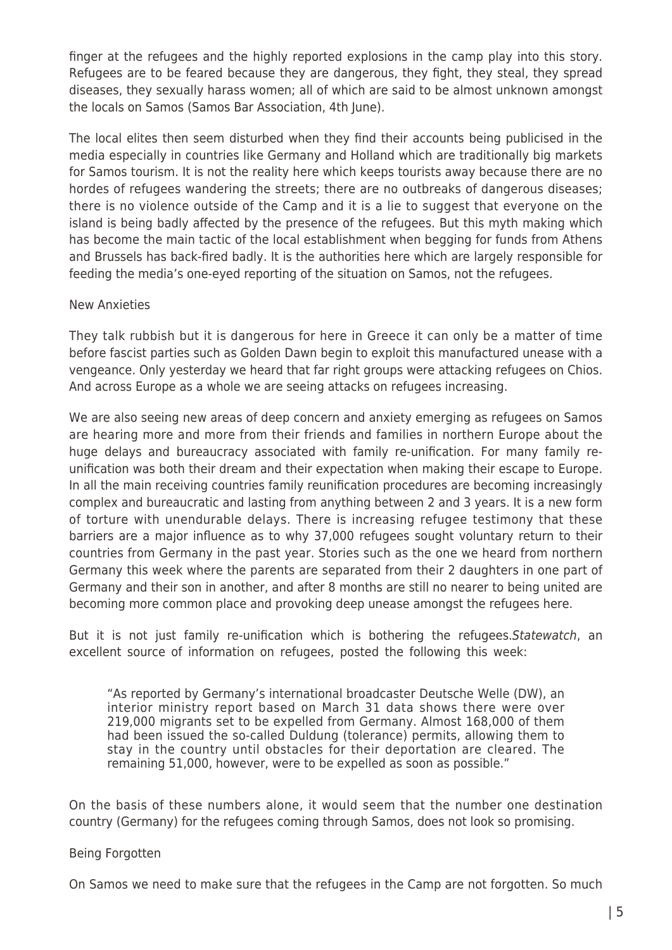finger at the refugees and the highly reported explosions in the camp play into this story. Refugees are to be feared because they are dangerous, they fight, they steal, they spread diseases, they sexually harass women; all of which are said to be almost unknown amongst the locals on Samos (Samos Bar Association, 4th June).

The local elites then seem disturbed when they find their accounts being publicised in the media especially in countries like Germany and Holland which are traditionally big markets for Samos tourism. It is not the reality here which keeps tourists away because there are no hordes of refugees wandering the streets; there are no outbreaks of dangerous diseases; there is no violence outside of the Camp and it is a lie to suggest that everyone on the island is being badly affected by the presence of the refugees. But this myth making which has become the main tactic of the local establishment when begging for funds from Athens and Brussels has back-fired badly. It is the authorities here which are largely responsible for feeding the media's one-eyed reporting of the situation on Samos, not the refugees.

#### New Anxieties

They talk rubbish but it is dangerous for here in Greece it can only be a matter of time before fascist parties such as Golden Dawn begin to exploit this manufactured unease with a vengeance. Only yesterday we heard that far right groups were attacking refugees on Chios. And across Europe as a whole we are seeing attacks on refugees increasing.

We are also seeing new areas of deep concern and anxiety emerging as refugees on Samos are hearing more and more from their friends and families in northern Europe about the huge delays and bureaucracy associated with family re-unification. For many family reunification was both their dream and their expectation when making their escape to Europe. In all the main receiving countries family reunification procedures are becoming increasingly complex and bureaucratic and lasting from anything between 2 and 3 years. It is a new form of torture with unendurable delays. There is increasing refugee testimony that these barriers are a major influence as to why 37,000 refugees sought voluntary return to their countries from Germany in the past year. Stories such as the one we heard from northern Germany this week where the parents are separated from their 2 daughters in one part of Germany and their son in another, and after 8 months are still no nearer to being united are becoming more common place and provoking deep unease amongst the refugees here.

But it is not just family re-unification which is bothering the refugees. Statewatch, an excellent source of information on refugees, posted the following this week:

"As reported by Germany's international broadcaster Deutsche Welle (DW), an interior ministry report based on March 31 data shows there were over 219,000 migrants set to be expelled from Germany. Almost 168,000 of them had been issued the so-called Duldung (tolerance) permits, allowing them to stay in the country until obstacles for their deportation are cleared. The remaining 51,000, however, were to be expelled as soon as possible."

On the basis of these numbers alone, it would seem that the number one destination country (Germany) for the refugees coming through Samos, does not look so promising.

#### Being Forgotten

On Samos we need to make sure that the refugees in the Camp are not forgotten. So much